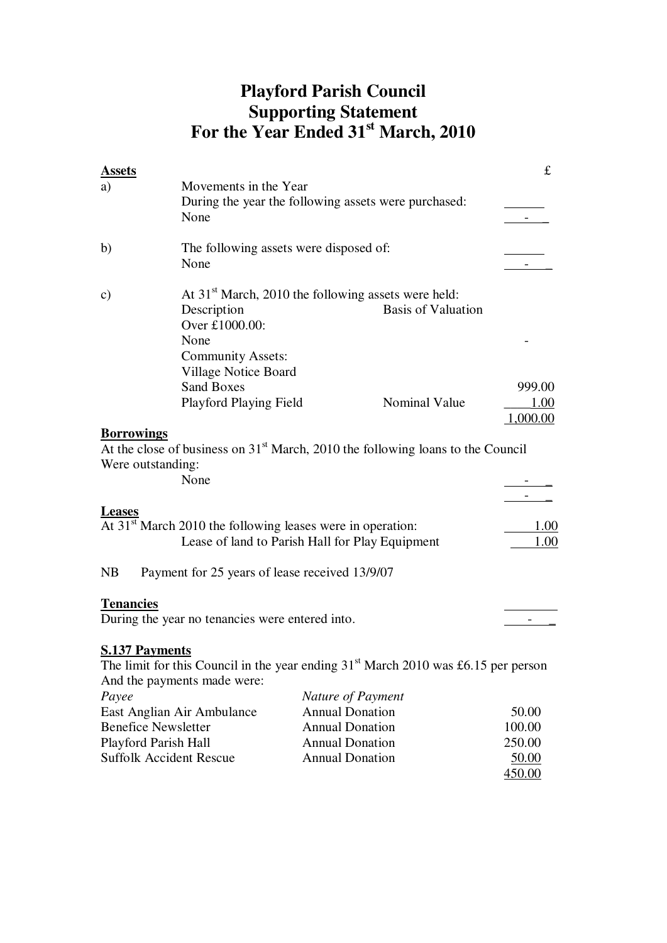## **Playford Parish Council Supporting Statement For the Year Ended 31st March, 2010**

| <b>Assets</b>         |                                                              |                                                                                                | £        |
|-----------------------|--------------------------------------------------------------|------------------------------------------------------------------------------------------------|----------|
| a)                    | Movements in the Year                                        |                                                                                                |          |
|                       |                                                              | During the year the following assets were purchased:                                           |          |
|                       | None                                                         |                                                                                                |          |
| b)                    | The following assets were disposed of:                       |                                                                                                |          |
|                       | None                                                         |                                                                                                |          |
| $\mathbf{c})$         |                                                              | At 31 <sup>st</sup> March, 2010 the following assets were held:                                |          |
|                       | Description                                                  | <b>Basis of Valuation</b>                                                                      |          |
|                       | Over £1000.00:                                               |                                                                                                |          |
|                       | None                                                         |                                                                                                |          |
|                       | <b>Community Assets:</b>                                     |                                                                                                |          |
|                       | Village Notice Board                                         |                                                                                                |          |
|                       | <b>Sand Boxes</b>                                            |                                                                                                | 999.00   |
|                       | <b>Playford Playing Field</b>                                | Nominal Value                                                                                  | 1.00     |
|                       |                                                              |                                                                                                | 1,000.00 |
| <b>Borrowings</b>     |                                                              |                                                                                                |          |
|                       |                                                              | At the close of business on $31st$ March, 2010 the following loans to the Council              |          |
| Were outstanding:     |                                                              |                                                                                                |          |
|                       | None                                                         |                                                                                                |          |
|                       |                                                              |                                                                                                |          |
| <b>Leases</b>         |                                                              |                                                                                                |          |
|                       | At $31st$ March 2010 the following leases were in operation: |                                                                                                | 1.00     |
|                       |                                                              | Lease of land to Parish Hall for Play Equipment                                                | 1.00     |
| <b>NB</b>             | Payment for 25 years of lease received 13/9/07               |                                                                                                |          |
|                       |                                                              |                                                                                                |          |
| <b>Tenancies</b>      | During the year no tenancies were entered into.              |                                                                                                |          |
|                       |                                                              |                                                                                                |          |
| <b>S.137 Payments</b> |                                                              |                                                                                                |          |
|                       |                                                              | The limit for this Council in the year ending 31 <sup>st</sup> March 2010 was £6.15 per person |          |
|                       | And the payments made were:                                  |                                                                                                |          |
| Payee                 |                                                              | Nature of Payment                                                                              |          |
|                       | East Anglian Air Ambulance                                   | <b>Annual Donation</b>                                                                         | 50.00    |
|                       | <b>Benefice Newsletter</b>                                   | <b>Annual Donation</b>                                                                         | 100.00   |
|                       | Playford Parish Hall                                         | <b>Annual Donation</b>                                                                         | 250.00   |
|                       | <b>Suffolk Accident Rescue</b>                               | <b>Annual Donation</b>                                                                         | 50.00    |

450.00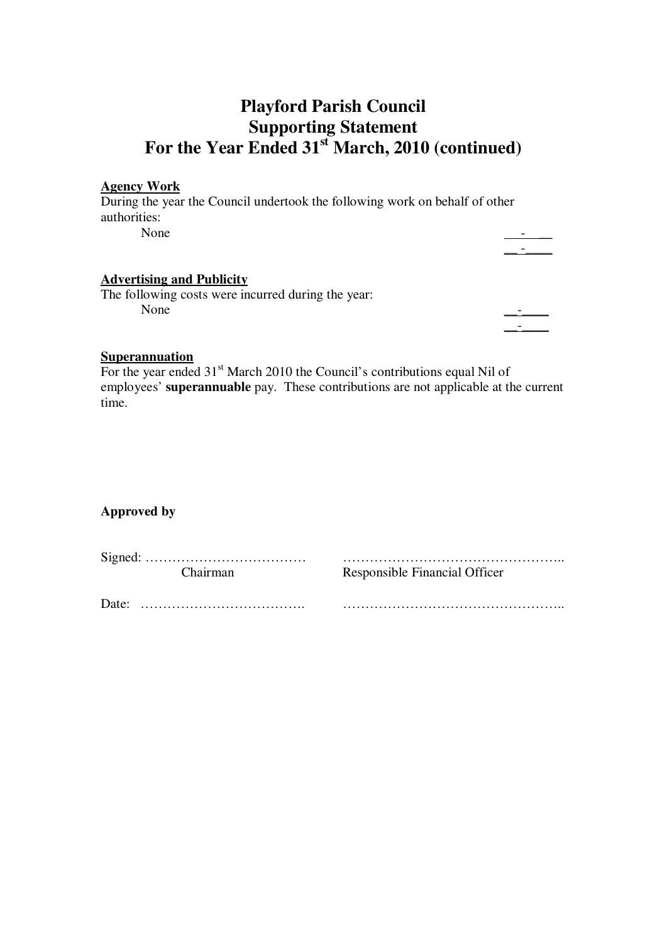### **Playford Parish Council Supporting Statement For the Year Ended 31st March, 2010 (continued)**

#### **Agency Work**

During the year the Council undertook the following work on behalf of other authorities: None  $\qquad \qquad \qquad \qquad$ 

\_\_ -\_\_\_\_

### **Advertising and Publicity**

The following costs were incurred during the year: None  $\qquad \qquad \qquad$ 

 $\mathcal{L}_\text{max} = \frac{1}{2} \sum_{i=1}^n \mathcal{L}_i \mathcal{L}_i$  , where  $\mathcal{L}_\text{max} = \frac{1}{2} \sum_{i=1}^n \mathcal{L}_i$ 

#### **Superannuation**

For the year ended  $31<sup>st</sup>$  March 2010 the Council's contributions equal Nil of employees' **superannuable** pay. These contributions are not applicable at the current time.

### **Approved by**

Signed: ……………………………… ………………………………………….. Chairman Responsible Financial Officer

Date: ………………………………. …………………………………………..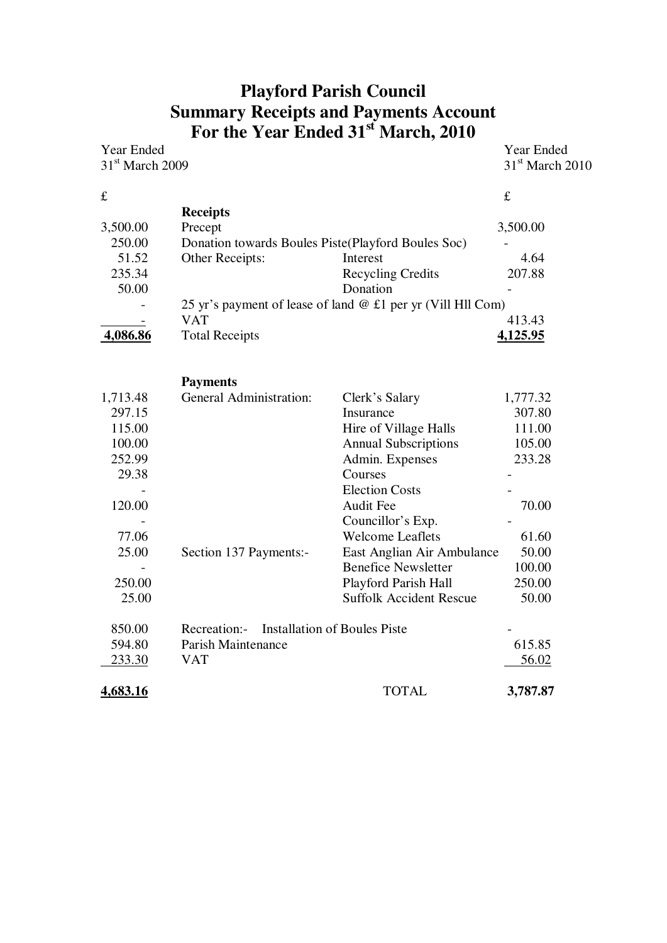# **Playford Parish Council Summary Receipts and Payments Account For the Year Ended 31st March, 2010**

| Year Ended        |                       |                                                               | <b>Year Ended</b> |
|-------------------|-----------------------|---------------------------------------------------------------|-------------------|
| $31st$ March 2009 |                       |                                                               | $31st$ March 2010 |
| £                 |                       |                                                               | £                 |
|                   |                       |                                                               |                   |
|                   | <b>Receipts</b>       |                                                               |                   |
| 3,500.00          | Precept               |                                                               | 3,500.00          |
| 250.00            |                       | Donation towards Boules Piste (Playford Boules Soc)           |                   |
| 51.52             | Other Receipts:       | Interest                                                      | 4.64              |
| 235.34            |                       | <b>Recycling Credits</b>                                      | 207.88            |
| 50.00             |                       | Donation                                                      |                   |
|                   |                       | 25 yr's payment of lease of land $@$ £1 per yr (Vill Hll Com) |                   |
|                   | VAT                   |                                                               | 413.43            |
| 4,086.86          | <b>Total Receipts</b> |                                                               | 4,125.95          |
|                   |                       |                                                               |                   |
|                   |                       |                                                               |                   |

|          | <b>Payments</b>                           |                                |          |
|----------|-------------------------------------------|--------------------------------|----------|
| 1,713.48 | <b>General Administration:</b>            | Clerk's Salary                 | 1,777.32 |
| 297.15   |                                           | Insurance                      | 307.80   |
| 115.00   |                                           | Hire of Village Halls          | 111.00   |
| 100.00   |                                           | <b>Annual Subscriptions</b>    | 105.00   |
| 252.99   |                                           | Admin. Expenses                | 233.28   |
| 29.38    |                                           | Courses                        |          |
|          |                                           | <b>Election Costs</b>          |          |
| 120.00   |                                           | <b>Audit Fee</b>               | 70.00    |
|          |                                           | Councillor's Exp.              |          |
| 77.06    |                                           | <b>Welcome Leaflets</b>        | 61.60    |
| 25.00    | Section 137 Payments:-                    | East Anglian Air Ambulance     | 50.00    |
|          |                                           | <b>Benefice Newsletter</b>     | 100.00   |
| 250.00   |                                           | Playford Parish Hall           | 250.00   |
| 25.00    |                                           | <b>Suffolk Accident Rescue</b> | 50.00    |
| 850.00   | Recreation:- Installation of Boules Piste |                                |          |
| 594.80   | Parish Maintenance                        |                                | 615.85   |
| 233.30   | <b>VAT</b>                                |                                | 56.02    |
| 4,683.16 |                                           | TOTAL                          | 3,787.87 |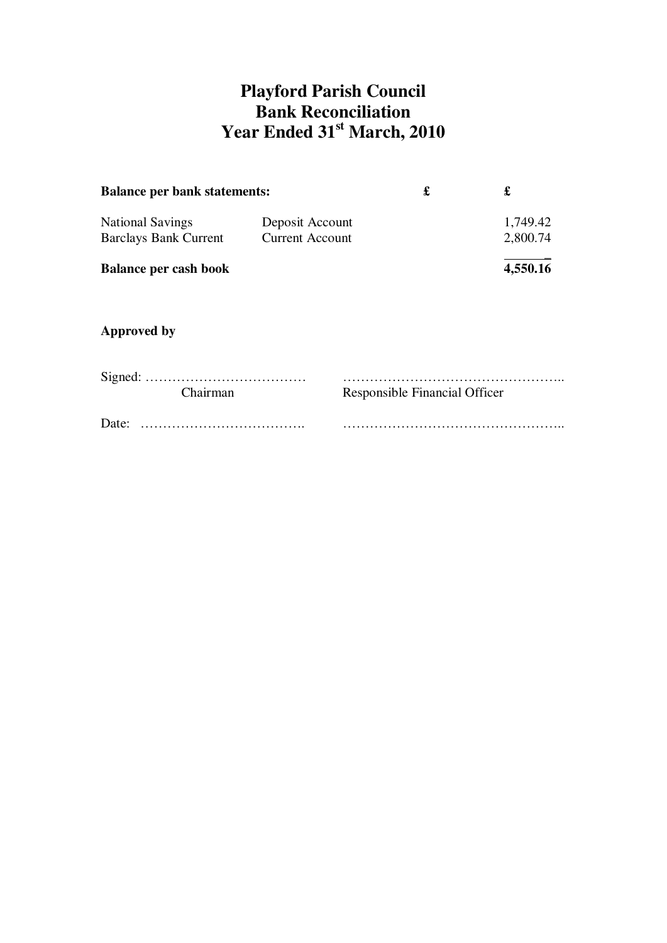## **Playford Parish Council Bank Reconciliation Year Ended 31st March, 2010**

| <b>Balance per bank statements:</b>                     | £                                         |  |                      |
|---------------------------------------------------------|-------------------------------------------|--|----------------------|
| <b>National Savings</b><br><b>Barclays Bank Current</b> | Deposit Account<br><b>Current Account</b> |  | 1,749.42<br>2,800.74 |
| <b>Balance per cash book</b>                            |                                           |  | 4,550.16             |

### **Approved by**

|       | <b>Chairman</b> | Responsible Financial Officer |
|-------|-----------------|-------------------------------|
| Date: |                 |                               |